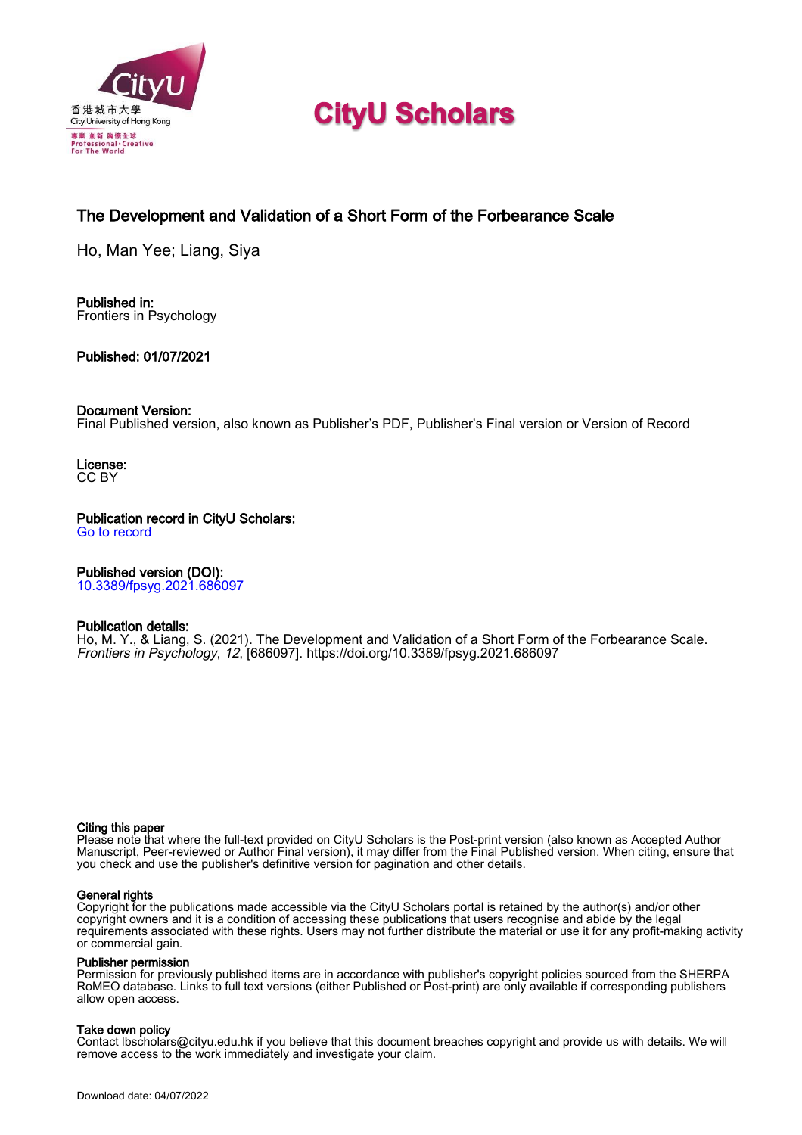

# **CityU Scholars**

# The Development and Validation of a Short Form of the Forbearance Scale

Ho, Man Yee; Liang, Siya

Published in: Frontiers in Psychology

#### Published: 01/07/2021

#### Document Version:

Final Published version, also known as Publisher's PDF, Publisher's Final version or Version of Record

License: CC BY

Publication record in CityU Scholars: [Go to record](https://scholars.cityu.edu.hk/en/publications/the-development-and-validation-of-a-short-form-of-the-forbearance-scale(cfba5c1f-36d4-409a-8636-436c63c3badd).html)

#### Published version (DOI):

[10.3389/fpsyg.2021.686097](https://doi.org/10.3389/fpsyg.2021.686097)

#### Publication details:

[Ho, M. Y.,](https://scholars.cityu.edu.hk/en/persons/man-yee-ho(95de2dcf-cd87-470e-b48a-85f1eb721a8b).html) & Liang, S. (2021). [The Development and Validation of a Short Form of the Forbearance Scale](https://scholars.cityu.edu.hk/en/publications/the-development-and-validation-of-a-short-form-of-the-forbearance-scale(cfba5c1f-36d4-409a-8636-436c63c3badd).html). [Frontiers in Psychology](https://scholars.cityu.edu.hk/en/journals/frontiers-in-psychology(15b2fdfd-5ce5-405a-ab79-75e136d29d8c)/publications.html), 12, [686097]. <https://doi.org/10.3389/fpsyg.2021.686097>

#### Citing this paper

Please note that where the full-text provided on CityU Scholars is the Post-print version (also known as Accepted Author Manuscript, Peer-reviewed or Author Final version), it may differ from the Final Published version. When citing, ensure that you check and use the publisher's definitive version for pagination and other details.

#### General rights

Copyright for the publications made accessible via the CityU Scholars portal is retained by the author(s) and/or other copyright owners and it is a condition of accessing these publications that users recognise and abide by the legal requirements associated with these rights. Users may not further distribute the material or use it for any profit-making activity or commercial gain.

#### Publisher permission

Permission for previously published items are in accordance with publisher's copyright policies sourced from the SHERPA RoMEO database. Links to full text versions (either Published or Post-print) are only available if corresponding publishers allow open access.

#### Take down policy

Contact lbscholars@cityu.edu.hk if you believe that this document breaches copyright and provide us with details. We will remove access to the work immediately and investigate your claim.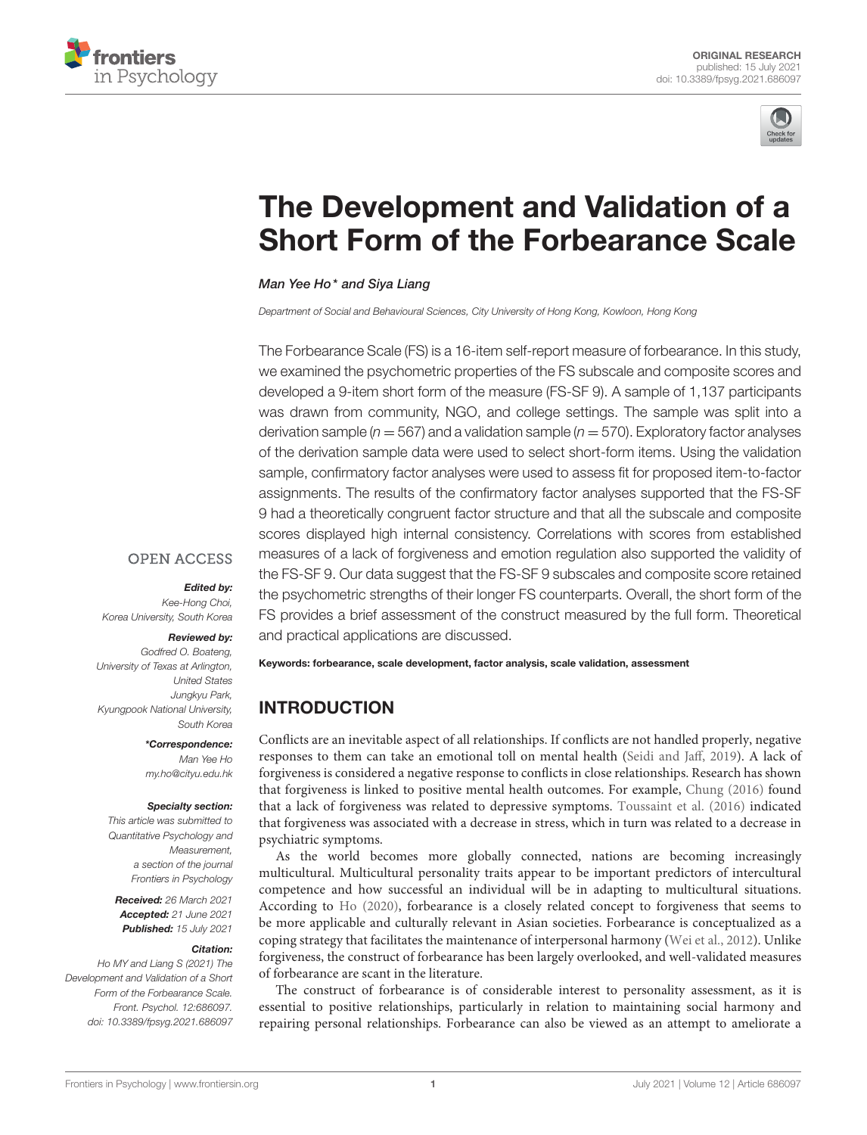



# [The Development and Validation of a](https://www.frontiersin.org/articles/10.3389/fpsyg.2021.686097/full) Short Form of the Forbearance Scale

#### Man Yee Ho\* and Siya Liang

*Department of Social and Behavioural Sciences, City University of Hong Kong, Kowloon, Hong Kong*

The Forbearance Scale (FS) is a 16-item self-report measure of forbearance. In this study, we examined the psychometric properties of the FS subscale and composite scores and developed a 9-item short form of the measure (FS-SF 9). A sample of 1,137 participants was drawn from community, NGO, and college settings. The sample was split into a derivation sample ( $n = 567$ ) and a validation sample ( $n = 570$ ). Exploratory factor analyses of the derivation sample data were used to select short-form items. Using the validation sample, confirmatory factor analyses were used to assess fit for proposed item-to-factor assignments. The results of the confirmatory factor analyses supported that the FS-SF 9 had a theoretically congruent factor structure and that all the subscale and composite scores displayed high internal consistency. Correlations with scores from established measures of a lack of forgiveness and emotion regulation also supported the validity of the FS-SF 9. Our data suggest that the FS-SF 9 subscales and composite score retained the psychometric strengths of their longer FS counterparts. Overall, the short form of the FS provides a brief assessment of the construct measured by the full form. Theoretical

#### **OPEN ACCESS**

#### Edited by:

*Kee-Hong Choi, Korea University, South Korea*

#### Reviewed by:

*Godfred O. Boateng, University of Texas at Arlington, United States Jungkyu Park, Kyungpook National University, South Korea*

#### \*Correspondence:

*Man Yee Ho [my.ho@cityu.edu.hk](mailto:my.ho@cityu.edu.hk)*

#### Specialty section:

*This article was submitted to Quantitative Psychology and Measurement, a section of the journal Frontiers in Psychology*

Received: *26 March 2021* Accepted: *21 June 2021* Published: *15 July 2021*

#### Citation:

*Ho MY and Liang S (2021) The Development and Validation of a Short Form of the Forbearance Scale. Front. Psychol. 12:686097. doi: [10.3389/fpsyg.2021.686097](https://doi.org/10.3389/fpsyg.2021.686097)* and practical applications are discussed.

Keywords: forbearance, scale development, factor analysis, scale validation, assessment

# INTRODUCTION

Conflicts are an inevitable aspect of all relationships. If conflicts are not handled properly, negative responses to them can take an emotional toll on mental health [\(Seidi and Jaff, 2019\)](#page-9-0). A lack of forgiveness is considered a negative response to conflicts in close relationships. Research has shown that forgiveness is linked to positive mental health outcomes. For example, [Chung \(2016\)](#page-9-1) found that a lack of forgiveness was related to depressive symptoms. [Toussaint et al. \(2016\)](#page-9-2) indicated that forgiveness was associated with a decrease in stress, which in turn was related to a decrease in psychiatric symptoms.

As the world becomes more globally connected, nations are becoming increasingly multicultural. Multicultural personality traits appear to be important predictors of intercultural competence and how successful an individual will be in adapting to multicultural situations. According to [Ho \(2020\)](#page-9-3), forbearance is a closely related concept to forgiveness that seems to be more applicable and culturally relevant in Asian societies. Forbearance is conceptualized as a coping strategy that facilitates the maintenance of interpersonal harmony [\(Wei et al., 2012\)](#page-9-4). Unlike forgiveness, the construct of forbearance has been largely overlooked, and well-validated measures of forbearance are scant in the literature.

The construct of forbearance is of considerable interest to personality assessment, as it is essential to positive relationships, particularly in relation to maintaining social harmony and repairing personal relationships. Forbearance can also be viewed as an attempt to ameliorate a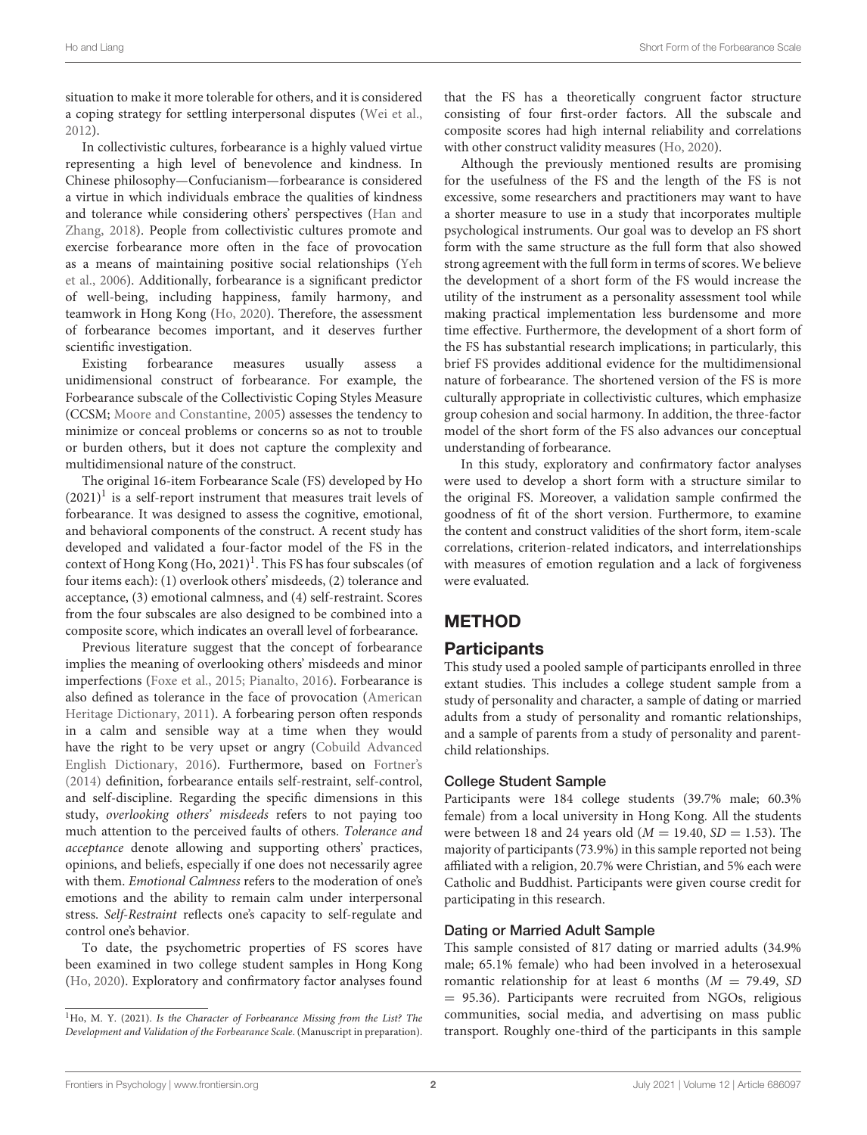situation to make it more tolerable for others, and it is considered a coping strategy for settling interpersonal disputes [\(Wei et al.,](#page-9-4) [2012\)](#page-9-4).

In collectivistic cultures, forbearance is a highly valued virtue representing a high level of benevolence and kindness. In Chinese philosophy—Confucianism—forbearance is considered a virtue in which individuals embrace the qualities of kindness and tolerance while considering others' perspectives (Han and Zhang, [2018\)](#page-9-5). People from collectivistic cultures promote and exercise forbearance more often in the face of provocation as a means of maintaining positive social relationships (Yeh et al., [2006\)](#page-9-6). Additionally, forbearance is a significant predictor of well-being, including happiness, family harmony, and teamwork in Hong Kong [\(Ho, 2020\)](#page-9-3). Therefore, the assessment of forbearance becomes important, and it deserves further scientific investigation.

Existing forbearance measures usually assess a unidimensional construct of forbearance. For example, the Forbearance subscale of the Collectivistic Coping Styles Measure (CCSM; [Moore and Constantine, 2005\)](#page-9-7) assesses the tendency to minimize or conceal problems or concerns so as not to trouble or burden others, but it does not capture the complexity and multidimensional nature of the construct.

The original 16-item Forbearance Scale (FS) developed by Ho  $(2021)^{1}$  $(2021)^{1}$  $(2021)^{1}$  is a self-report instrument that measures trait levels of forbearance. It was designed to assess the cognitive, emotional, and behavioral components of the construct. A recent study has developed and validated a four-factor model of the FS in the context of Hong Kong  $(Ho, 2021)^1$  $(Ho, 2021)^1$  $(Ho, 2021)^1$ . This FS has four subscales (of four items each): (1) overlook others' misdeeds, (2) tolerance and acceptance, (3) emotional calmness, and (4) self-restraint. Scores from the four subscales are also designed to be combined into a composite score, which indicates an overall level of forbearance.

Previous literature suggest that the concept of forbearance implies the meaning of overlooking others' misdeeds and minor imperfections [\(Foxe et al., 2015;](#page-9-8) [Pianalto, 2016\)](#page-9-9). Forbearance is also defined as tolerance in the face of provocation (American Heritage Dictionary, [2011\)](#page-9-10). A forbearing person often responds in a calm and sensible way at a time when they would have the right to be very upset or angry (Cobuild Advanced English Dictionary, [2016\)](#page-9-11). Furthermore, based on [Fortner's](#page-9-12) [\(2014\)](#page-9-12) definition, forbearance entails self-restraint, self-control, and self-discipline. Regarding the specific dimensions in this study, overlooking others' misdeeds refers to not paying too much attention to the perceived faults of others. Tolerance and acceptance denote allowing and supporting others' practices, opinions, and beliefs, especially if one does not necessarily agree with them. Emotional Calmness refers to the moderation of one's emotions and the ability to remain calm under interpersonal stress. Self-Restraint reflects one's capacity to self-regulate and control one's behavior.

To date, the psychometric properties of FS scores have been examined in two college student samples in Hong Kong [\(Ho, 2020\)](#page-9-3). Exploratory and confirmatory factor analyses found that the FS has a theoretically congruent factor structure consisting of four first-order factors. All the subscale and composite scores had high internal reliability and correlations with other construct validity measures [\(Ho, 2020\)](#page-9-3).

Although the previously mentioned results are promising for the usefulness of the FS and the length of the FS is not excessive, some researchers and practitioners may want to have a shorter measure to use in a study that incorporates multiple psychological instruments. Our goal was to develop an FS short form with the same structure as the full form that also showed strong agreement with the full form in terms of scores. We believe the development of a short form of the FS would increase the utility of the instrument as a personality assessment tool while making practical implementation less burdensome and more time effective. Furthermore, the development of a short form of the FS has substantial research implications; in particularly, this brief FS provides additional evidence for the multidimensional nature of forbearance. The shortened version of the FS is more culturally appropriate in collectivistic cultures, which emphasize group cohesion and social harmony. In addition, the three-factor model of the short form of the FS also advances our conceptual understanding of forbearance.

In this study, exploratory and confirmatory factor analyses were used to develop a short form with a structure similar to the original FS. Moreover, a validation sample confirmed the goodness of fit of the short version. Furthermore, to examine the content and construct validities of the short form, item-scale correlations, criterion-related indicators, and interrelationships with measures of emotion regulation and a lack of forgiveness were evaluated.

# METHOD

### **Participants**

This study used a pooled sample of participants enrolled in three extant studies. This includes a college student sample from a study of personality and character, a sample of dating or married adults from a study of personality and romantic relationships, and a sample of parents from a study of personality and parentchild relationships.

#### College Student Sample

Participants were 184 college students (39.7% male; 60.3% female) from a local university in Hong Kong. All the students were between 18 and 24 years old ( $M = 19.40$ ,  $SD = 1.53$ ). The majority of participants (73.9%) in this sample reported not being affiliated with a religion, 20.7% were Christian, and 5% each were Catholic and Buddhist. Participants were given course credit for participating in this research.

#### Dating or Married Adult Sample

This sample consisted of 817 dating or married adults (34.9% male; 65.1% female) who had been involved in a heterosexual romantic relationship for at least 6 months ( $M = 79.49$ , SD = 95.36). Participants were recruited from NGOs, religious communities, social media, and advertising on mass public transport. Roughly one-third of the participants in this sample

<span id="page-2-1"></span><span id="page-2-0"></span> $1$ Ho, M. Y. (2021). Is the Character of Forbearance Missing from the List? The Development and Validation of the Forbearance Scale. (Manuscript in preparation).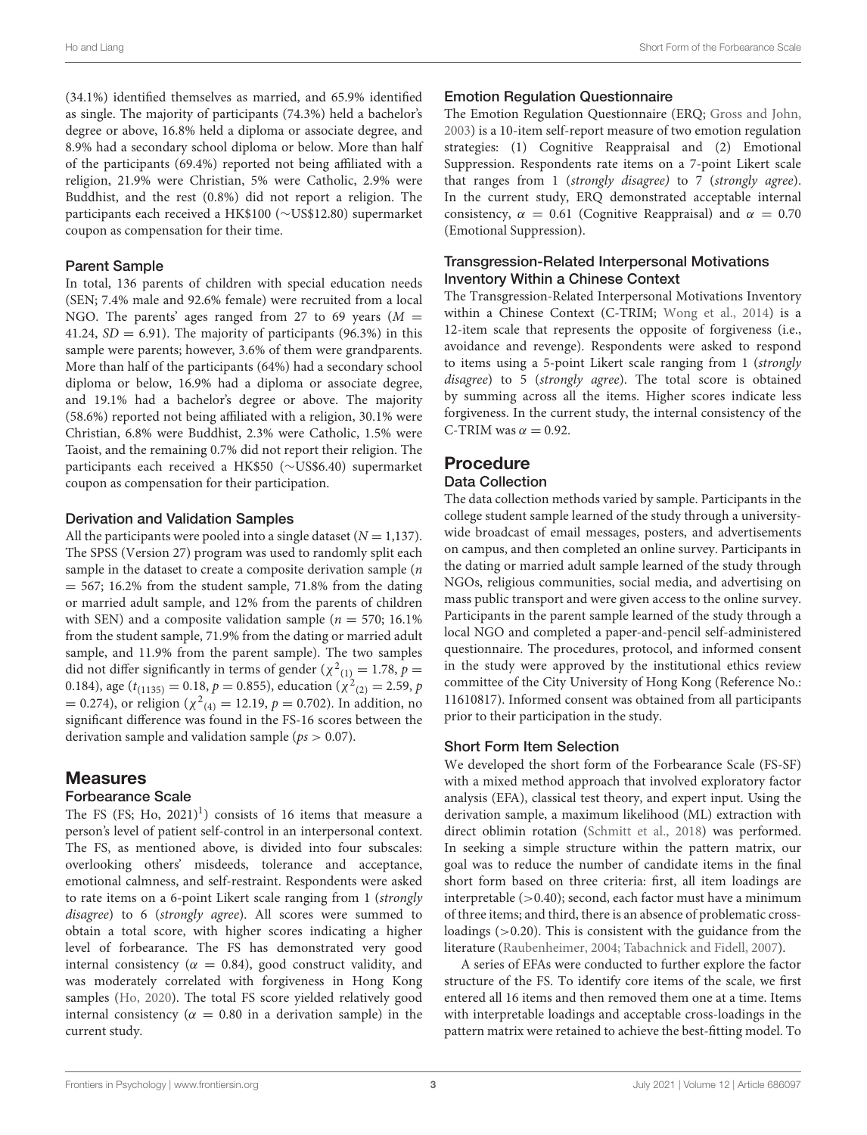(34.1%) identified themselves as married, and 65.9% identified as single. The majority of participants (74.3%) held a bachelor's degree or above, 16.8% held a diploma or associate degree, and 8.9% had a secondary school diploma or below. More than half of the participants (69.4%) reported not being affiliated with a religion, 21.9% were Christian, 5% were Catholic, 2.9% were Buddhist, and the rest (0.8%) did not report a religion. The participants each received a HK\$100 (∼US\$12.80) supermarket coupon as compensation for their time.

#### Parent Sample

In total, 136 parents of children with special education needs (SEN; 7.4% male and 92.6% female) were recruited from a local NGO. The parents' ages ranged from 27 to 69 years  $(M =$ 41.24,  $SD = 6.91$ ). The majority of participants (96.3%) in this sample were parents; however, 3.6% of them were grandparents. More than half of the participants (64%) had a secondary school diploma or below, 16.9% had a diploma or associate degree, and 19.1% had a bachelor's degree or above. The majority (58.6%) reported not being affiliated with a religion, 30.1% were Christian, 6.8% were Buddhist, 2.3% were Catholic, 1.5% were Taoist, and the remaining 0.7% did not report their religion. The participants each received a HK\$50 (∼US\$6.40) supermarket coupon as compensation for their participation.

#### Derivation and Validation Samples

All the participants were pooled into a single dataset ( $N = 1,137$ ). The SPSS (Version 27) program was used to randomly split each sample in the dataset to create a composite derivation sample (*n*  $= 567$ ; 16.2% from the student sample, 71.8% from the dating or married adult sample, and 12% from the parents of children with SEN) and a composite validation sample ( $n = 570$ ; 16.1%) from the student sample, 71.9% from the dating or married adult sample, and 11.9% from the parent sample). The two samples did not differ significantly in terms of gender ( $\chi^2_{(1)} = 1.78$ ,  $p =$ 0.184), age ( $t_{(1135)} = 0.18$ ,  $p = 0.855$ ), education ( $\chi^2_{(2)} = 2.59$ ,  $p$ = 0.274), or religion ( $\chi^2_{(4)}$  = 12.19,  $p$  = 0.702). In addition, no significant difference was found in the FS-16 scores between the derivation sample and validation sample ( $ps > 0.07$ ).

#### Measures

#### Forbearance Scale

The FS (FS; Ho,  $2021$  $2021$ )<sup>1</sup>) consists of 16 items that measure a person's level of patient self-control in an interpersonal context. The FS, as mentioned above, is divided into four subscales: overlooking others' misdeeds, tolerance and acceptance, emotional calmness, and self-restraint. Respondents were asked to rate items on a 6-point Likert scale ranging from 1 (strongly disagree) to 6 (strongly agree). All scores were summed to obtain a total score, with higher scores indicating a higher level of forbearance. The FS has demonstrated very good internal consistency ( $\alpha = 0.84$ ), good construct validity, and was moderately correlated with forgiveness in Hong Kong samples [\(Ho, 2020\)](#page-9-3). The total FS score yielded relatively good internal consistency ( $\alpha = 0.80$  in a derivation sample) in the current study.

#### Emotion Regulation Questionnaire

The Emotion Regulation Questionnaire (ERQ; [Gross and John,](#page-9-13) [2003\)](#page-9-13) is a 10-item self-report measure of two emotion regulation strategies: (1) Cognitive Reappraisal and (2) Emotional Suppression. Respondents rate items on a 7-point Likert scale that ranges from 1 (strongly disagree) to 7 (strongly agree). In the current study, ERQ demonstrated acceptable internal consistency,  $\alpha = 0.61$  (Cognitive Reappraisal) and  $\alpha = 0.70$ (Emotional Suppression).

#### Transgression-Related Interpersonal Motivations Inventory Within a Chinese Context

The Transgression-Related Interpersonal Motivations Inventory within a Chinese Context (C-TRIM; [Wong et al., 2014\)](#page-9-14) is a 12-item scale that represents the opposite of forgiveness (i.e., avoidance and revenge). Respondents were asked to respond to items using a 5-point Likert scale ranging from 1 (strongly disagree) to 5 (strongly agree). The total score is obtained by summing across all the items. Higher scores indicate less forgiveness. In the current study, the internal consistency of the C-TRIM was  $\alpha = 0.92$ .

### Procedure

#### Data Collection

The data collection methods varied by sample. Participants in the college student sample learned of the study through a universitywide broadcast of email messages, posters, and advertisements on campus, and then completed an online survey. Participants in the dating or married adult sample learned of the study through NGOs, religious communities, social media, and advertising on mass public transport and were given access to the online survey. Participants in the parent sample learned of the study through a local NGO and completed a paper-and-pencil self-administered questionnaire. The procedures, protocol, and informed consent in the study were approved by the institutional ethics review committee of the City University of Hong Kong (Reference No.: 11610817). Informed consent was obtained from all participants prior to their participation in the study.

#### Short Form Item Selection

We developed the short form of the Forbearance Scale (FS-SF) with a mixed method approach that involved exploratory factor analysis (EFA), classical test theory, and expert input. Using the derivation sample, a maximum likelihood (ML) extraction with direct oblimin rotation [\(Schmitt et al., 2018\)](#page-9-15) was performed. In seeking a simple structure within the pattern matrix, our goal was to reduce the number of candidate items in the final short form based on three criteria: first, all item loadings are interpretable (>0.40); second, each factor must have a minimum of three items; and third, there is an absence of problematic crossloadings (>0.20). This is consistent with the guidance from the literature [\(Raubenheimer, 2004;](#page-9-16) [Tabachnick and Fidell, 2007\)](#page-9-17).

A series of EFAs were conducted to further explore the factor structure of the FS. To identify core items of the scale, we first entered all 16 items and then removed them one at a time. Items with interpretable loadings and acceptable cross-loadings in the pattern matrix were retained to achieve the best-fitting model. To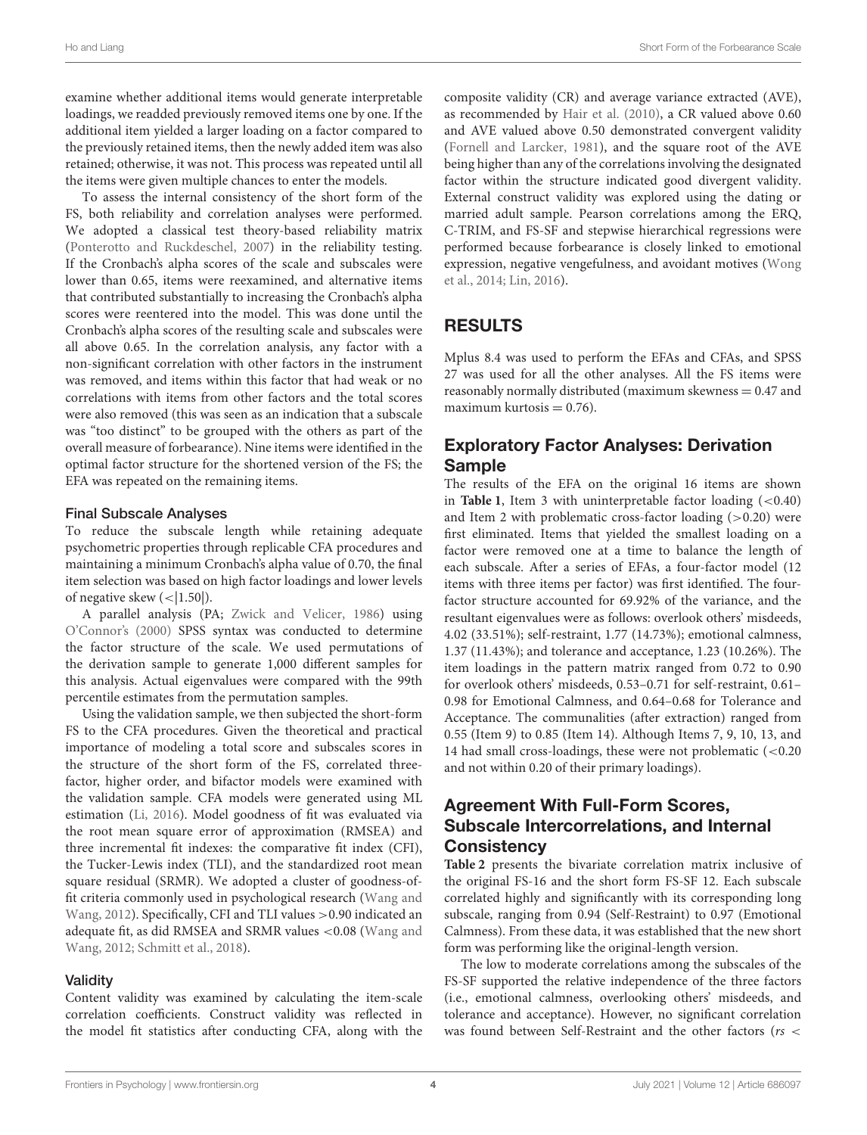examine whether additional items would generate interpretable loadings, we readded previously removed items one by one. If the additional item yielded a larger loading on a factor compared to the previously retained items, then the newly added item was also retained; otherwise, it was not. This process was repeated until all the items were given multiple chances to enter the models.

To assess the internal consistency of the short form of the FS, both reliability and correlation analyses were performed. We adopted a classical test theory-based reliability matrix [\(Ponterotto and Ruckdeschel, 2007\)](#page-9-18) in the reliability testing. If the Cronbach's alpha scores of the scale and subscales were lower than 0.65, items were reexamined, and alternative items that contributed substantially to increasing the Cronbach's alpha scores were reentered into the model. This was done until the Cronbach's alpha scores of the resulting scale and subscales were all above 0.65. In the correlation analysis, any factor with a non-significant correlation with other factors in the instrument was removed, and items within this factor that had weak or no correlations with items from other factors and the total scores were also removed (this was seen as an indication that a subscale was "too distinct" to be grouped with the others as part of the overall measure of forbearance). Nine items were identified in the optimal factor structure for the shortened version of the FS; the EFA was repeated on the remaining items.

#### Final Subscale Analyses

To reduce the subscale length while retaining adequate psychometric properties through replicable CFA procedures and maintaining a minimum Cronbach's alpha value of 0.70, the final item selection was based on high factor loadings and lower levels of negative skew  $\left(\frac{1.50}{\cdot}\right)$ .

A parallel analysis (PA; [Zwick and Velicer, 1986\)](#page-9-19) using [O'Connor's \(2000\)](#page-9-20) SPSS syntax was conducted to determine the factor structure of the scale. We used permutations of the derivation sample to generate 1,000 different samples for this analysis. Actual eigenvalues were compared with the 99th percentile estimates from the permutation samples.

Using the validation sample, we then subjected the short-form FS to the CFA procedures. Given the theoretical and practical importance of modeling a total score and subscales scores in the structure of the short form of the FS, correlated threefactor, higher order, and bifactor models were examined with the validation sample. CFA models were generated using ML estimation [\(Li, 2016\)](#page-9-21). Model goodness of fit was evaluated via the root mean square error of approximation (RMSEA) and three incremental fit indexes: the comparative fit index (CFI), the Tucker-Lewis index (TLI), and the standardized root mean square residual (SRMR). We adopted a cluster of goodness-offit criteria commonly used in psychological research (Wang and Wang, [2012\)](#page-9-22). Specifically, CFI and TLI values >0.90 indicated an adequate fit, as did RMSEA and SRMR values <0.08 (Wang and Wang, [2012;](#page-9-22) [Schmitt et al., 2018\)](#page-9-15).

#### **Validity**

Content validity was examined by calculating the item-scale correlation coefficients. Construct validity was reflected in the model fit statistics after conducting CFA, along with the composite validity (CR) and average variance extracted (AVE), as recommended by [Hair et al. \(2010\)](#page-9-23), a CR valued above 0.60 and AVE valued above 0.50 demonstrated convergent validity [\(Fornell and Larcker, 1981\)](#page-9-24), and the square root of the AVE being higher than any of the correlations involving the designated factor within the structure indicated good divergent validity. External construct validity was explored using the dating or married adult sample. Pearson correlations among the ERQ, C-TRIM, and FS-SF and stepwise hierarchical regressions were performed because forbearance is closely linked to emotional expression, negative vengefulness, and avoidant motives (Wong et al., [2014;](#page-9-14) [Lin, 2016\)](#page-9-25).

# RESULTS

Mplus 8.4 was used to perform the EFAs and CFAs, and SPSS 27 was used for all the other analyses. All the FS items were reasonably normally distributed (maximum skewness  $= 0.47$  and maximum kurtosis  $= 0.76$ ).

## Exploratory Factor Analyses: Derivation Sample

The results of the EFA on the original 16 items are shown in **[Table 1](#page-5-0)**, Item 3 with uninterpretable factor loading  $(<0.40$ ) and Item 2 with problematic cross-factor loading  $(>0.20)$  were first eliminated. Items that yielded the smallest loading on a factor were removed one at a time to balance the length of each subscale. After a series of EFAs, a four-factor model (12 items with three items per factor) was first identified. The fourfactor structure accounted for 69.92% of the variance, and the resultant eigenvalues were as follows: overlook others' misdeeds, 4.02 (33.51%); self-restraint, 1.77 (14.73%); emotional calmness, 1.37 (11.43%); and tolerance and acceptance, 1.23 (10.26%). The item loadings in the pattern matrix ranged from 0.72 to 0.90 for overlook others' misdeeds, 0.53–0.71 for self-restraint, 0.61– 0.98 for Emotional Calmness, and 0.64–0.68 for Tolerance and Acceptance. The communalities (after extraction) ranged from 0.55 (Item 9) to 0.85 (Item 14). Although Items 7, 9, 10, 13, and 14 had small cross-loadings, these were not problematic (<0.20 and not within 0.20 of their primary loadings).

## Agreement With Full-Form Scores, Subscale Intercorrelations, and Internal **Consistency**

**[Table 2](#page-5-1)** presents the bivariate correlation matrix inclusive of the original FS-16 and the short form FS-SF 12. Each subscale correlated highly and significantly with its corresponding long subscale, ranging from 0.94 (Self-Restraint) to 0.97 (Emotional Calmness). From these data, it was established that the new short form was performing like the original-length version.

The low to moderate correlations among the subscales of the FS-SF supported the relative independence of the three factors (i.e., emotional calmness, overlooking others' misdeeds, and tolerance and acceptance). However, no significant correlation was found between Self-Restraint and the other factors ( $rs <$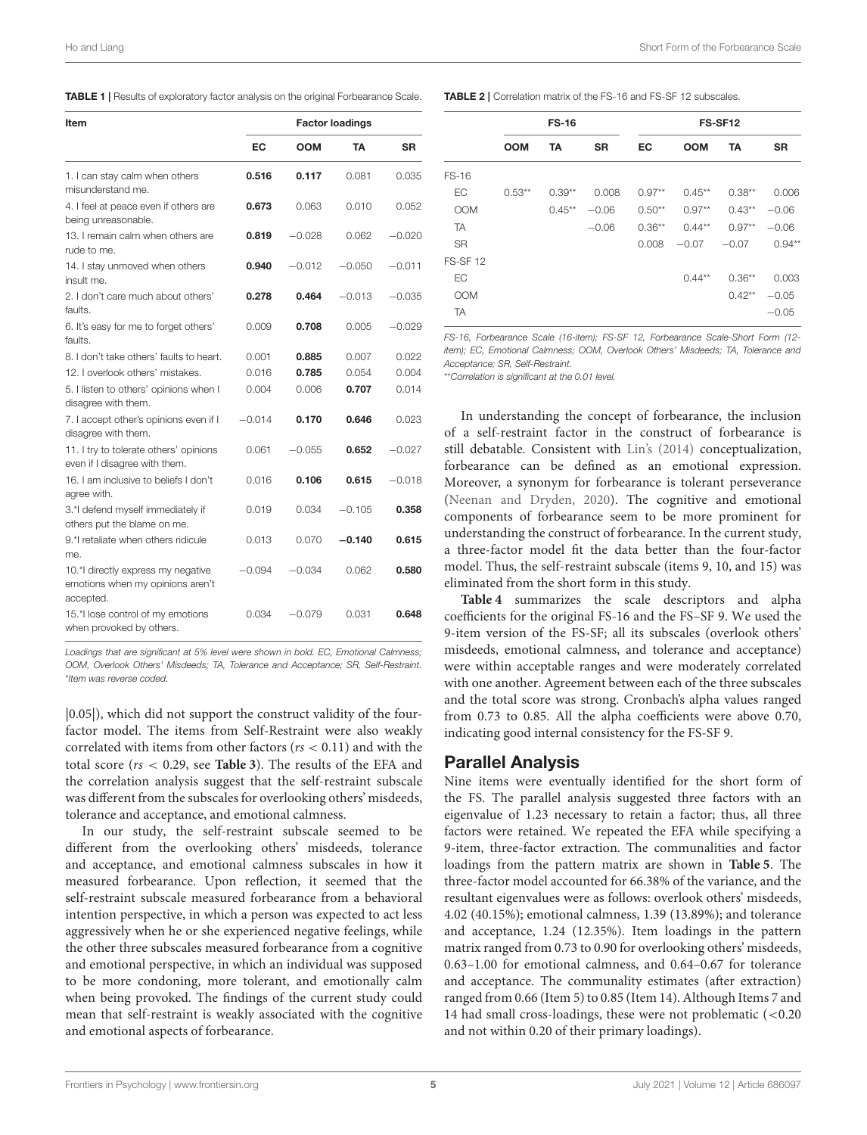<span id="page-5-0"></span>TABLE 1 | Results of exploratory factor analysis on the original Forbearance Scale.

| Item                                                                                | <b>Factor loadings</b> |            |          |           |  |  |  |  |  |
|-------------------------------------------------------------------------------------|------------------------|------------|----------|-----------|--|--|--|--|--|
|                                                                                     | EC                     | <b>OOM</b> | TA       | <b>SR</b> |  |  |  |  |  |
| 1. I can stay calm when others<br>misunderstand me.                                 | 0.516                  | 0.117      | 0.081    | 0.035     |  |  |  |  |  |
| 4. I feel at peace even if others are<br>being unreasonable.                        | 0.673                  | 0.063      | 0.010    | 0.052     |  |  |  |  |  |
| 13. I remain calm when others are<br>rude to me.                                    | 0.819                  | $-0.028$   | 0.062    | $-0.020$  |  |  |  |  |  |
| 14. I stay unmoved when others<br>insult me.                                        | 0.940                  | $-0.012$   | $-0.050$ | $-0.011$  |  |  |  |  |  |
| 2. I don't care much about others'<br>faults.                                       | 0.278                  | 0.464      | $-0.013$ | $-0.035$  |  |  |  |  |  |
| 6. It's easy for me to forget others'<br>faults.                                    | 0.009                  | 0.708      | 0.005    | $-0.029$  |  |  |  |  |  |
| 8. I don't take others' faults to heart.                                            | 0.001                  | 0.885      | 0.007    | 0.022     |  |  |  |  |  |
| 12. I overlook others' mistakes.                                                    | 0.016                  | 0.785      | 0.054    | 0.004     |  |  |  |  |  |
| 5. I listen to others' opinions when I<br>disagree with them.                       | 0.004                  | 0.006      | 0.707    | 0.014     |  |  |  |  |  |
| 7. I accept other's opinions even if I<br>disagree with them.                       | $-0.014$               | 0.170      | 0.646    | 0.023     |  |  |  |  |  |
| 11. I try to tolerate others' opinions<br>even if I disagree with them.             | 0.061                  | $-0.055$   | 0.652    | $-0.027$  |  |  |  |  |  |
| 16. I am inclusive to beliefs I don't<br>agree with.                                | 0.016                  | 0.106      | 0.615    | $-0.018$  |  |  |  |  |  |
| 3.*I defend myself immediately if<br>others put the blame on me.                    | 0.019                  | 0.034      | $-0.105$ | 0.358     |  |  |  |  |  |
| 9.*I retaliate when others ridicule<br>me.                                          | 0.013                  | 0.070      | $-0.140$ | 0.615     |  |  |  |  |  |
| 10.*I directly express my negative<br>emotions when my opinions aren't<br>accepted. | $-0.094$               | $-0.034$   | 0.062    | 0.580     |  |  |  |  |  |
| 15.*I lose control of my emotions<br>when provoked by others.                       | 0.034                  | $-0.079$   | 0.031    | 0.648     |  |  |  |  |  |

*Loadings that are significant at 5% level were shown in bold. EC, Emotional Calmness; OOM, Overlook Others' Misdeeds; TA, Tolerance and Acceptance; SR, Self-Restraint.* \**Item was reverse coded.*

|0.05|), which did not support the construct validity of the fourfactor model. The items from Self-Restraint were also weakly correlated with items from other factors ( $rs < 0.11$ ) and with the total score (rs < 0.29, see **[Table 3](#page-6-0)**). The results of the EFA and the correlation analysis suggest that the self-restraint subscale was different from the subscales for overlooking others' misdeeds, tolerance and acceptance, and emotional calmness.

In our study, the self-restraint subscale seemed to be different from the overlooking others' misdeeds, tolerance and acceptance, and emotional calmness subscales in how it measured forbearance. Upon reflection, it seemed that the self-restraint subscale measured forbearance from a behavioral intention perspective, in which a person was expected to act less aggressively when he or she experienced negative feelings, while the other three subscales measured forbearance from a cognitive and emotional perspective, in which an individual was supposed to be more condoning, more tolerant, and emotionally calm when being provoked. The findings of the current study could mean that self-restraint is weakly associated with the cognitive and emotional aspects of forbearance.

<span id="page-5-1"></span>TABLE 2 | Correlation matrix of the FS-16 and FS-SF 12 subscales.

|                 |            | <b>FS-16</b> |           | FS-SF12  |            |           |           |  |  |  |
|-----------------|------------|--------------|-----------|----------|------------|-----------|-----------|--|--|--|
|                 | <b>OOM</b> | TA           | <b>SR</b> | EC       | <b>OOM</b> | <b>TA</b> | <b>SR</b> |  |  |  |
| <b>FS-16</b>    |            |              |           |          |            |           |           |  |  |  |
| EC              | $0.53***$  | $0.39**$     | 0.008     | $0.97**$ | $0.45***$  | $0.38**$  | 0.006     |  |  |  |
| <b>OOM</b>      |            | $0.45***$    | $-0.06$   | $0.50**$ | $0.97**$   | $0.43**$  | $-0.06$   |  |  |  |
| <b>TA</b>       |            |              | $-0.06$   | $0.36**$ | $0.44***$  | $0.97**$  | $-0.06$   |  |  |  |
| <b>SR</b>       |            |              |           | 0.008    | $-0.07$    | $-0.07$   | $0.94**$  |  |  |  |
| <b>FS-SF 12</b> |            |              |           |          |            |           |           |  |  |  |
| EC              |            |              |           |          | $0.44***$  | $0.36**$  | 0.003     |  |  |  |
| <b>OOM</b>      |            |              |           |          |            | $0.42**$  | $-0.05$   |  |  |  |
| <b>TA</b>       |            |              |           |          |            |           | $-0.05$   |  |  |  |

*FS-16, Forbearance Scale (16-item); FS-SF 12, Forbearance Scale-Short Form (12 item); EC, Emotional Calmness; OOM, Overlook Others' Misdeeds; TA, Tolerance and Acceptance; SR, Self-Restraint.*

\*\**Correlation is significant at the 0.01 level.*

In understanding the concept of forbearance, the inclusion of a self-restraint factor in the construct of forbearance is still debatable. Consistent with [Lin's \(2014\)](#page-9-26) conceptualization, forbearance can be defined as an emotional expression. Moreover, a synonym for forbearance is tolerant perseverance [\(Neenan and Dryden, 2020\)](#page-9-27). The cognitive and emotional components of forbearance seem to be more prominent for understanding the construct of forbearance. In the current study, a three-factor model fit the data better than the four-factor model. Thus, the self-restraint subscale (items 9, 10, and 15) was eliminated from the short form in this study.

**[Table 4](#page-6-1)** summarizes the scale descriptors and alpha coefficients for the original FS-16 and the FS–SF 9. We used the 9-item version of the FS-SF; all its subscales (overlook others' misdeeds, emotional calmness, and tolerance and acceptance) were within acceptable ranges and were moderately correlated with one another. Agreement between each of the three subscales and the total score was strong. Cronbach's alpha values ranged from 0.73 to 0.85. All the alpha coefficients were above 0.70, indicating good internal consistency for the FS-SF 9.

#### Parallel Analysis

Nine items were eventually identified for the short form of the FS. The parallel analysis suggested three factors with an eigenvalue of 1.23 necessary to retain a factor; thus, all three factors were retained. We repeated the EFA while specifying a 9-item, three-factor extraction. The communalities and factor loadings from the pattern matrix are shown in **[Table 5](#page-7-0)**. The three-factor model accounted for 66.38% of the variance, and the resultant eigenvalues were as follows: overlook others' misdeeds, 4.02 (40.15%); emotional calmness, 1.39 (13.89%); and tolerance and acceptance, 1.24 (12.35%). Item loadings in the pattern matrix ranged from 0.73 to 0.90 for overlooking others' misdeeds, 0.63–1.00 for emotional calmness, and 0.64–0.67 for tolerance and acceptance. The communality estimates (after extraction) ranged from 0.66 (Item 5) to 0.85 (Item 14). Although Items 7 and 14 had small cross-loadings, these were not problematic (<0.20 and not within 0.20 of their primary loadings).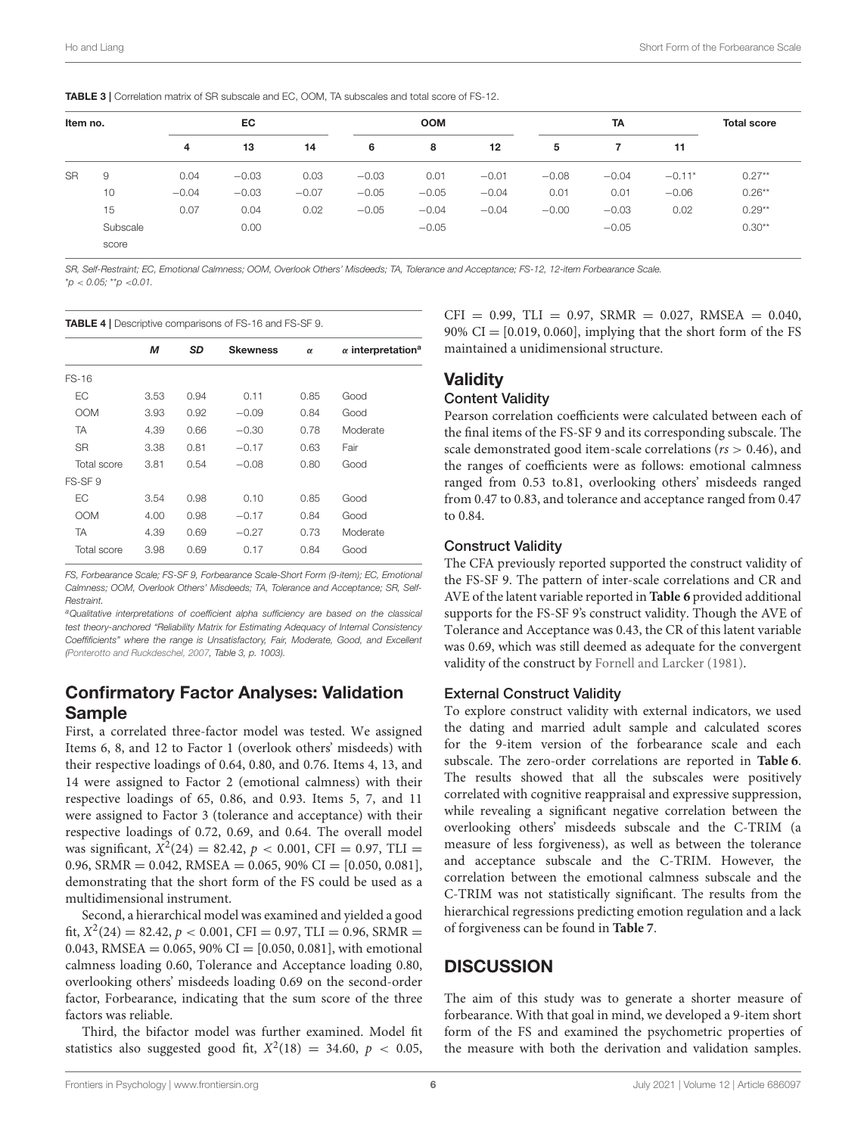<span id="page-6-0"></span>TABLE 3 | Correlation matrix of SR subscale and EC, OOM, TA subscales and total score of FS-12.

| Item no.  |          | EC      |         |         |         | <b>OOM</b> |         |         | <b>TA</b> |          |           |
|-----------|----------|---------|---------|---------|---------|------------|---------|---------|-----------|----------|-----------|
|           | 4        | 13      | 14      | 6       | 8       | 12         | 5       |         | 11        |          |           |
| <b>SR</b> | 9        | 0.04    | $-0.03$ | 0.03    | $-0.03$ | 0.01       | $-0.01$ | $-0.08$ | $-0.04$   | $-0.11*$ | $0.27**$  |
|           | 10       | $-0.04$ | $-0.03$ | $-0.07$ | $-0.05$ | $-0.05$    | $-0.04$ | 0.01    | 0.01      | $-0.06$  | $0.26***$ |
|           | 15       | 0.07    | 0.04    | 0.02    | $-0.05$ | $-0.04$    | $-0.04$ | $-0.00$ | $-0.03$   | 0.02     | $0.29**$  |
|           | Subscale |         | 0.00    |         |         | $-0.05$    |         |         | $-0.05$   |          | $0.30**$  |
|           | score    |         |         |         |         |            |         |         |           |          |           |

*SR, Self-Restraint; EC, Emotional Calmness; OOM, Overlook Others' Misdeeds; TA, Tolerance and Acceptance; FS-12, 12-item Forbearance Scale.* \**p* < *0.05;* \*\**p* <*0.01.*

<span id="page-6-1"></span>

|             | <b>TABLE 4</b>   Descriptive comparisons of FS-16 and FS-SF 9. |      |                 |          |                                      |  |  |  |  |  |  |
|-------------|----------------------------------------------------------------|------|-----------------|----------|--------------------------------------|--|--|--|--|--|--|
|             | М                                                              | SD   | <b>Skewness</b> | $\alpha$ | $\alpha$ interpretation <sup>a</sup> |  |  |  |  |  |  |
| FS-16       |                                                                |      |                 |          |                                      |  |  |  |  |  |  |
| EС          | 3.53                                                           | 0.94 | 0.11            | 0.85     | Good                                 |  |  |  |  |  |  |
| <b>OOM</b>  | 3.93                                                           | 0.92 | $-0.09$         | 0.84     | Good                                 |  |  |  |  |  |  |
| TA          | 4.39                                                           | 0.66 | $-0.30$         | 0.78     | Moderate                             |  |  |  |  |  |  |
| <b>SR</b>   | 3.38                                                           | 0.81 | $-0.17$         | 0.63     | Fair                                 |  |  |  |  |  |  |
| Total score | 3.81                                                           | 0.54 | $-0.08$         | 0.80     | Good                                 |  |  |  |  |  |  |
| FS-SF 9     |                                                                |      |                 |          |                                      |  |  |  |  |  |  |
| EС          | 3.54                                                           | 0.98 | 0.10            | 0.85     | Good                                 |  |  |  |  |  |  |
| <b>OOM</b>  | 4.00                                                           | 0.98 | $-0.17$         | 0.84     | Good                                 |  |  |  |  |  |  |
| TA          | 4.39                                                           | 0.69 | $-0.27$         | 0.73     | Moderate                             |  |  |  |  |  |  |
| Total score | 3.98                                                           | 0.69 | 0.17            | 0.84     | Good                                 |  |  |  |  |  |  |

*FS, Forbearance Scale; FS-SF 9, Forbearance Scale-Short Form (9-item); EC, Emotional Calmness; OOM, Overlook Others' Misdeeds; TA, Tolerance and Acceptance; SR, Self-Restraint.*

*<sup>a</sup>Qualitative interpretations of coefficient alpha sufficiency are based on the classical test theory-anchored "Reliability Matrix for Estimating Adequacy of Internal Consistency Coeffificients" where the range is Unsatisfactory, Fair, Moderate, Good, and Excellent [\(Ponterotto and Ruckdeschel, 2007,](#page-9-18) Table 3, p. 1003).*

## Confirmatory Factor Analyses: Validation Sample

First, a correlated three-factor model was tested. We assigned Items 6, 8, and 12 to Factor 1 (overlook others' misdeeds) with their respective loadings of 0.64, 0.80, and 0.76. Items 4, 13, and 14 were assigned to Factor 2 (emotional calmness) with their respective loadings of 65, 0.86, and 0.93. Items 5, 7, and 11 were assigned to Factor 3 (tolerance and acceptance) with their respective loadings of 0.72, 0.69, and 0.64. The overall model was significant,  $X^2(24) = 82.42$ ,  $p < 0.001$ , CFI = 0.97, TLI = 0.96, SRMR = 0.042, RMSEA = 0.065, 90% CI =  $[0.050, 0.081]$ , demonstrating that the short form of the FS could be used as a multidimensional instrument.

Second, a hierarchical model was examined and yielded a good fit,  $X^2(24) = 82.42$ ,  $p < 0.001$ , CFI = 0.97, TLI = 0.96, SRMR = 0.043, RMSEA =  $0.065$ , 90% CI = [0.050, 0.081], with emotional calmness loading 0.60, Tolerance and Acceptance loading 0.80, overlooking others' misdeeds loading 0.69 on the second-order factor, Forbearance, indicating that the sum score of the three factors was reliable.

Third, the bifactor model was further examined. Model fit statistics also suggested good fit,  $X^2(18) = 34.60, p < 0.05$ ,

 $CFI = 0.99$ ,  $TLI = 0.97$ ,  $SRMR = 0.027$ ,  $RMSEA = 0.040$ , 90%  $CI = [0.019, 0.060]$ , implying that the short form of the FS maintained a unidimensional structure.

# **Validity**

## Content Validity

Pearson correlation coefficients were calculated between each of the final items of the FS-SF 9 and its corresponding subscale. The scale demonstrated good item-scale correlations ( $rs > 0.46$ ), and the ranges of coefficients were as follows: emotional calmness ranged from 0.53 to.81, overlooking others' misdeeds ranged from 0.47 to 0.83, and tolerance and acceptance ranged from 0.47 to 0.84.

#### Construct Validity

The CFA previously reported supported the construct validity of the FS-SF 9. The pattern of inter-scale correlations and CR and AVE of the latent variable reported in **[Table 6](#page-7-1)** provided additional supports for the FS-SF 9's construct validity. Though the AVE of Tolerance and Acceptance was 0.43, the CR of this latent variable was 0.69, which was still deemed as adequate for the convergent validity of the construct by [Fornell and Larcker \(1981\)](#page-9-24).

#### External Construct Validity

To explore construct validity with external indicators, we used the dating and married adult sample and calculated scores for the 9-item version of the forbearance scale and each subscale. The zero-order correlations are reported in **[Table 6](#page-7-1)**. The results showed that all the subscales were positively correlated with cognitive reappraisal and expressive suppression, while revealing a significant negative correlation between the overlooking others' misdeeds subscale and the C-TRIM (a measure of less forgiveness), as well as between the tolerance and acceptance subscale and the C-TRIM. However, the correlation between the emotional calmness subscale and the C-TRIM was not statistically significant. The results from the hierarchical regressions predicting emotion regulation and a lack of forgiveness can be found in **[Table 7](#page-7-2)**.

## **DISCUSSION**

The aim of this study was to generate a shorter measure of forbearance. With that goal in mind, we developed a 9-item short form of the FS and examined the psychometric properties of the measure with both the derivation and validation samples.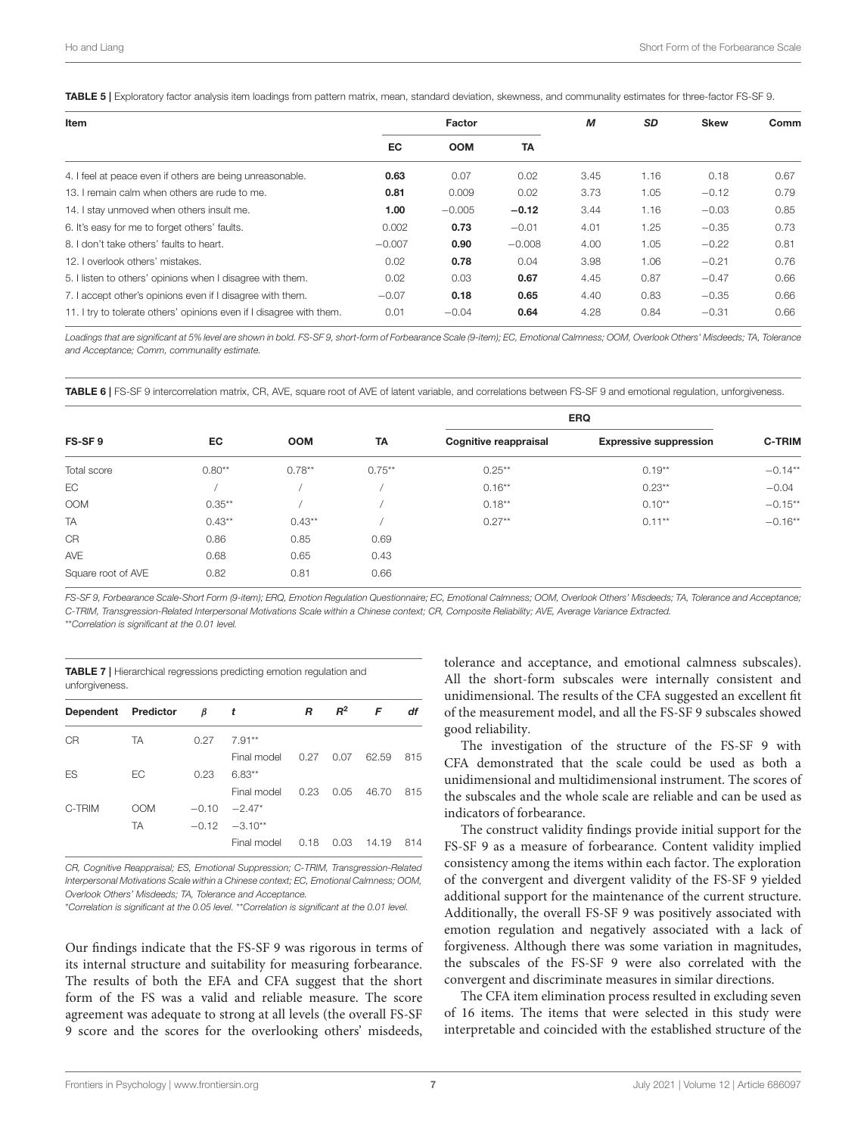<span id="page-7-0"></span>TABLE 5 | Exploratory factor analysis item loadings from pattern matrix, mean, standard deviation, skewness, and communality estimates for three-factor FS-SF 9.

| Item                                                                 | Factor   |            |           | М    | SD   | <b>Skew</b> | Comm |
|----------------------------------------------------------------------|----------|------------|-----------|------|------|-------------|------|
|                                                                      | EC.      | <b>OOM</b> | <b>TA</b> |      |      |             |      |
| 4. I feel at peace even if others are being unreasonable.            | 0.63     | 0.07       | 0.02      | 3.45 | 1.16 | 0.18        | 0.67 |
| 13. I remain calm when others are rude to me.                        | 0.81     | 0.009      | 0.02      | 3.73 | 1.05 | $-0.12$     | 0.79 |
| 14. I stay unmoved when others insult me.                            | 1.00     | $-0.005$   | $-0.12$   | 3.44 | 1.16 | $-0.03$     | 0.85 |
| 6. It's easy for me to forget others' faults.                        | 0.002    | 0.73       | $-0.01$   | 4.01 | 1.25 | $-0.35$     | 0.73 |
| 8. I don't take others' faults to heart.                             | $-0.007$ | 0.90       | $-0.008$  | 4.00 | 1.05 | $-0.22$     | 0.81 |
| 12. I overlook others' mistakes.                                     | 0.02     | 0.78       | 0.04      | 3.98 | 1.06 | $-0.21$     | 0.76 |
| 5. I listen to others' opinions when I disagree with them.           | 0.02     | 0.03       | 0.67      | 4.45 | 0.87 | $-0.47$     | 0.66 |
| 7. I accept other's opinions even if I disagree with them.           | $-0.07$  | 0.18       | 0.65      | 4.40 | 0.83 | $-0.35$     | 0.66 |
| 11. I try to tolerate others' opinions even if I disagree with them. | 0.01     | $-0.04$    | 0.64      | 4.28 | 0.84 | $-0.31$     | 0.66 |

*Loadings that are significant at 5% level are shown in bold. FS-SF 9, short-form of Forbearance Scale (9-item); EC, Emotional Calmness; OOM, Overlook Others' Misdeeds; TA, Tolerance and Acceptance; Comm, communality estimate.*

<span id="page-7-1"></span>TABLE 6 | FS-SF 9 intercorrelation matrix, CR, AVE, square root of AVE of latent variable, and correlations between FS-SF 9 and emotional regulation, unforgiveness.

| FS-SF9             |           |            |           | <b>ERQ</b>                   |                               |               |
|--------------------|-----------|------------|-----------|------------------------------|-------------------------------|---------------|
|                    | EC        | <b>OOM</b> | TA        | <b>Cognitive reappraisal</b> | <b>Expressive suppression</b> | <b>C-TRIM</b> |
| Total score        | $0.80**$  | $0.78***$  | $0.75***$ | $0.25***$                    | $0.19**$                      | $-0.14**$     |
| EC                 |           |            |           | $0.16**$                     | $0.23**$                      | $-0.04$       |
| <b>OOM</b>         | $0.35***$ |            |           | $0.18**$                     | $0.10**$                      | $-0.15**$     |
| TA                 | $0.43**$  | $0.43***$  |           | $0.27**$                     | $0.11***$                     | $-0.16**$     |
| CR                 | 0.86      | 0.85       | 0.69      |                              |                               |               |
| <b>AVE</b>         | 0.68      | 0.65       | 0.43      |                              |                               |               |
| Square root of AVE | 0.82      | 0.81       | 0.66      |                              |                               |               |

*FS-SF 9, Forbearance Scale-Short Form (9-item); ERQ, Emotion Regulation Questionnaire; EC, Emotional Calmness; OOM, Overlook Others' Misdeeds; TA, Tolerance and Acceptance; C-TRIM, Transgression-Related Interpersonal Motivations Scale within a Chinese context; CR, Composite Reliability; AVE, Average Variance Extracted.* \*\**Correlation is significant at the 0.01 level.*

<span id="page-7-2"></span>TABLE 7 | Hierarchical regressions predicting emotion regulation and unforgiveness.

| Dependent Predictor |            | $\beta$ t |                 | R    | $R^2$       | F     | df  |
|---------------------|------------|-----------|-----------------|------|-------------|-------|-----|
| CR                  | <b>TA</b>  | 0.27      | $7.91**$        |      |             |       |     |
|                     |            |           | Final model     |      | $0.27$ 0.07 | 62.59 | 815 |
| ES                  | FC.        | 0.23      | $6.83**$        |      |             |       |     |
|                     |            |           | Final model     | 0.23 | 0.05        | 46.70 | 815 |
| C-TRIM              | <b>OOM</b> | $-0.10$   | $-2.47*$        |      |             |       |     |
|                     | <b>TA</b>  |           | $-0.12 -3.10**$ |      |             |       |     |
|                     |            |           | Final model     | 0.18 | 0.03        | 14.19 | 814 |
|                     |            |           |                 |      |             |       |     |

*CR, Cognitive Reappraisal; ES, Emotional Suppression; C-TRIM, Transgression-Related Interpersonal Motivations Scale within a Chinese context; EC, Emotional Calmness; OOM, Overlook Others' Misdeeds; TA, Tolerance and Acceptance.*

\**Correlation is significant at the 0.05 level.* \*\**Correlation is significant at the 0.01 level.*

Our findings indicate that the FS-SF 9 was rigorous in terms of its internal structure and suitability for measuring forbearance. The results of both the EFA and CFA suggest that the short form of the FS was a valid and reliable measure. The score agreement was adequate to strong at all levels (the overall FS-SF 9 score and the scores for the overlooking others' misdeeds, tolerance and acceptance, and emotional calmness subscales). All the short-form subscales were internally consistent and unidimensional. The results of the CFA suggested an excellent fit of the measurement model, and all the FS-SF 9 subscales showed good reliability.

The investigation of the structure of the FS-SF 9 with CFA demonstrated that the scale could be used as both a unidimensional and multidimensional instrument. The scores of the subscales and the whole scale are reliable and can be used as indicators of forbearance.

The construct validity findings provide initial support for the FS-SF 9 as a measure of forbearance. Content validity implied consistency among the items within each factor. The exploration of the convergent and divergent validity of the FS-SF 9 yielded additional support for the maintenance of the current structure. Additionally, the overall FS-SF 9 was positively associated with emotion regulation and negatively associated with a lack of forgiveness. Although there was some variation in magnitudes, the subscales of the FS-SF 9 were also correlated with the convergent and discriminate measures in similar directions.

The CFA item elimination process resulted in excluding seven of 16 items. The items that were selected in this study were interpretable and coincided with the established structure of the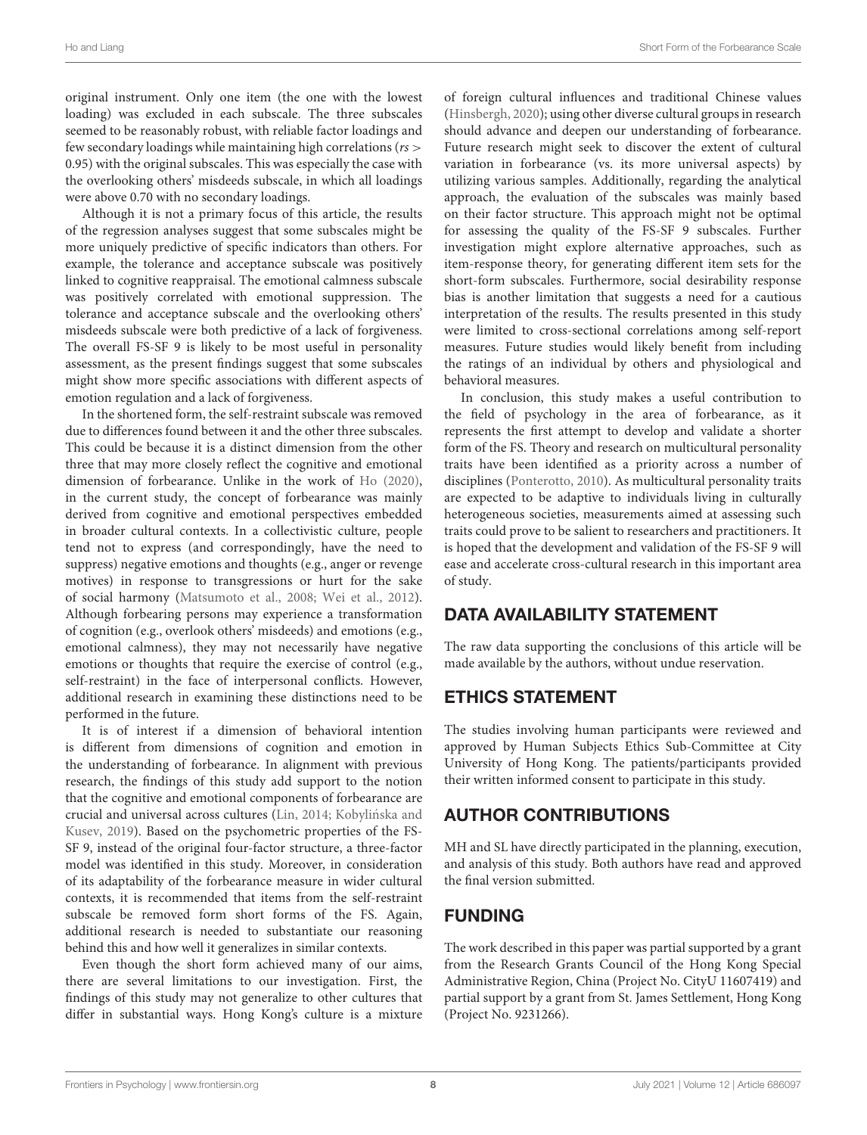original instrument. Only one item (the one with the lowest loading) was excluded in each subscale. The three subscales seemed to be reasonably robust, with reliable factor loadings and few secondary loadings while maintaining high correlations ( $rs$ ) 0.95) with the original subscales. This was especially the case with the overlooking others' misdeeds subscale, in which all loadings were above 0.70 with no secondary loadings.

Although it is not a primary focus of this article, the results of the regression analyses suggest that some subscales might be more uniquely predictive of specific indicators than others. For example, the tolerance and acceptance subscale was positively linked to cognitive reappraisal. The emotional calmness subscale was positively correlated with emotional suppression. The tolerance and acceptance subscale and the overlooking others' misdeeds subscale were both predictive of a lack of forgiveness. The overall FS-SF 9 is likely to be most useful in personality assessment, as the present findings suggest that some subscales might show more specific associations with different aspects of emotion regulation and a lack of forgiveness.

In the shortened form, the self-restraint subscale was removed due to differences found between it and the other three subscales. This could be because it is a distinct dimension from the other three that may more closely reflect the cognitive and emotional dimension of forbearance. Unlike in the work of [Ho \(2020\)](#page-9-3), in the current study, the concept of forbearance was mainly derived from cognitive and emotional perspectives embedded in broader cultural contexts. In a collectivistic culture, people tend not to express (and correspondingly, have the need to suppress) negative emotions and thoughts (e.g., anger or revenge motives) in response to transgressions or hurt for the sake of social harmony [\(Matsumoto et al., 2008;](#page-9-28) [Wei et al., 2012\)](#page-9-4). Although forbearing persons may experience a transformation of cognition (e.g., overlook others' misdeeds) and emotions (e.g., emotional calmness), they may not necessarily have negative emotions or thoughts that require the exercise of control (e.g., self-restraint) in the face of interpersonal conflicts. However, additional research in examining these distinctions need to be performed in the future.

It is of interest if a dimension of behavioral intention is different from dimensions of cognition and emotion in the understanding of forbearance. In alignment with previous research, the findings of this study add support to the notion that the cognitive and emotional components of forbearance are crucial and universal across cultures [\(Lin, 2014;](#page-9-26) Kobylińska and Kusev, [2019\)](#page-9-29). Based on the psychometric properties of the FS-SF 9, instead of the original four-factor structure, a three-factor model was identified in this study. Moreover, in consideration of its adaptability of the forbearance measure in wider cultural contexts, it is recommended that items from the self-restraint subscale be removed form short forms of the FS. Again, additional research is needed to substantiate our reasoning behind this and how well it generalizes in similar contexts.

Even though the short form achieved many of our aims, there are several limitations to our investigation. First, the findings of this study may not generalize to other cultures that differ in substantial ways. Hong Kong's culture is a mixture of foreign cultural influences and traditional Chinese values [\(Hinsbergh, 2020\)](#page-9-30); using other diverse cultural groups in research should advance and deepen our understanding of forbearance. Future research might seek to discover the extent of cultural variation in forbearance (vs. its more universal aspects) by utilizing various samples. Additionally, regarding the analytical approach, the evaluation of the subscales was mainly based on their factor structure. This approach might not be optimal for assessing the quality of the FS-SF 9 subscales. Further investigation might explore alternative approaches, such as item-response theory, for generating different item sets for the short-form subscales. Furthermore, social desirability response bias is another limitation that suggests a need for a cautious interpretation of the results. The results presented in this study were limited to cross-sectional correlations among self-report measures. Future studies would likely benefit from including the ratings of an individual by others and physiological and behavioral measures.

In conclusion, this study makes a useful contribution to the field of psychology in the area of forbearance, as it represents the first attempt to develop and validate a shorter form of the FS. Theory and research on multicultural personality traits have been identified as a priority across a number of disciplines [\(Ponterotto, 2010\)](#page-9-31). As multicultural personality traits are expected to be adaptive to individuals living in culturally heterogeneous societies, measurements aimed at assessing such traits could prove to be salient to researchers and practitioners. It is hoped that the development and validation of the FS-SF 9 will ease and accelerate cross-cultural research in this important area of study.

# DATA AVAILABILITY STATEMENT

The raw data supporting the conclusions of this article will be made available by the authors, without undue reservation.

# ETHICS STATEMENT

The studies involving human participants were reviewed and approved by Human Subjects Ethics Sub-Committee at City University of Hong Kong. The patients/participants provided their written informed consent to participate in this study.

# AUTHOR CONTRIBUTIONS

MH and SL have directly participated in the planning, execution, and analysis of this study. Both authors have read and approved the final version submitted.

# FUNDING

The work described in this paper was partial supported by a grant from the Research Grants Council of the Hong Kong Special Administrative Region, China (Project No. CityU 11607419) and partial support by a grant from St. James Settlement, Hong Kong (Project No. 9231266).